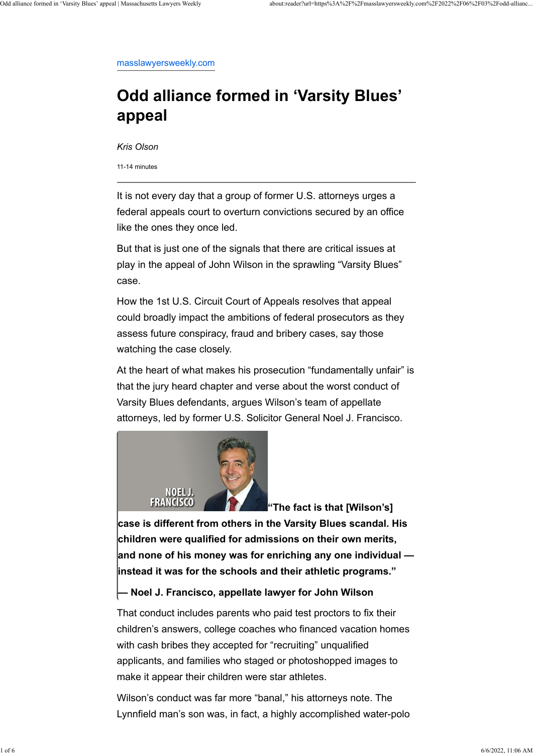[masslawyersweekly.com](https://masslawyersweekly.com/2022/06/03/odd-alliance-formed-in-varsity-blues-appeal/)

# **Odd alliance formed in 'Varsity Blues' appeal**

*Kris Olson*

11-14 minutes

It is not every day that a group of former U.S. attorneys urges a federal appeals court to overturn convictions secured by an office like the ones they once led.

But that is just one of the signals that there are critical issues at play in the appeal of John Wilson in the sprawling "Varsity Blues" case.

How the 1st U.S. Circuit Court of Appeals resolves that appeal could broadly impact the ambitions of federal prosecutors as they assess future conspiracy, fraud and bribery cases, say those watching the case closely.

At the heart of what makes his prosecution "fundamentally unfair" is that the jury heard chapter and verse about the worst conduct of Varsity Blues defendants, argues Wilson's team of appellate attorneys, led by former U.S. Solicitor General Noel J. Francisco.



**"The fact is that [Wilson's]**

**case is different from others in the Varsity Blues scandal. His children were qualified for admissions on their own merits, and none of his money was for enriching any one individual —**

#### **instead it was for the schools and their athletic programs."**

#### **— Noel J. Francisco, appellate lawyer for John Wilson**

That conduct includes parents who paid test proctors to fix their children's answers, college coaches who financed vacation homes with cash bribes they accepted for "recruiting" unqualified applicants, and families who staged or photoshopped images to make it appear their children were star athletes.

Wilson's conduct was far more "banal," his attorneys note. The Lynnfield man's son was, in fact, a highly accomplished water-polo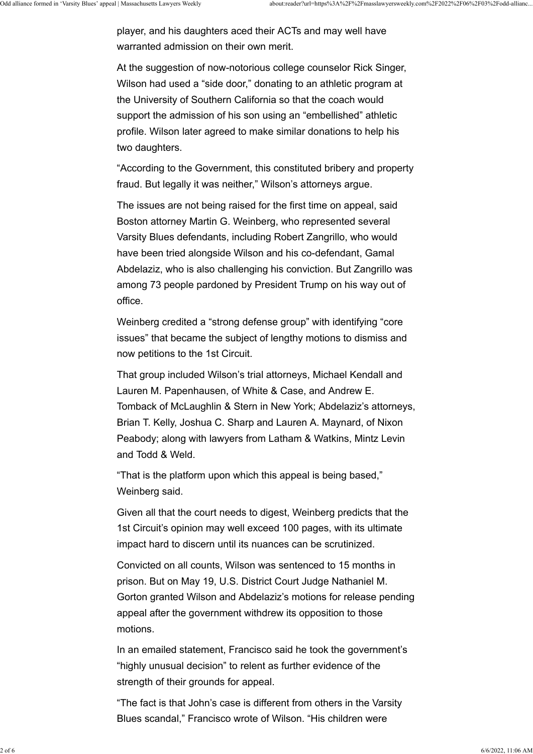player, and his daughters aced their ACTs and may well have warranted admission on their own merit.

At the suggestion of now-notorious college counselor Rick Singer, Wilson had used a "side door," donating to an athletic program at the University of Southern California so that the coach would support the admission of his son using an "embellished" athletic profile. Wilson later agreed to make similar donations to help his two daughters.

"According to the Government, this constituted bribery and property fraud. But legally it was neither," Wilson's attorneys argue.

The issues are not being raised for the first time on appeal, said Boston attorney Martin G. Weinberg, who represented several Varsity Blues defendants, including Robert Zangrillo, who would have been tried alongside Wilson and his co-defendant, Gamal Abdelaziz, who is also challenging his conviction. But Zangrillo was among 73 people pardoned by President Trump on his way out of office.

Weinberg credited a "strong defense group" with identifying "core issues" that became the subject of lengthy motions to dismiss and now petitions to the 1st Circuit.

That group included Wilson's trial attorneys, Michael Kendall and Lauren M. Papenhausen, of White & Case, and Andrew E. Tomback of McLaughlin & Stern in New York; Abdelaziz's attorneys, Brian T. Kelly, Joshua C. Sharp and Lauren A. Maynard, of Nixon Peabody; along with lawyers from Latham & Watkins, Mintz Levin and Todd & Weld.

"That is the platform upon which this appeal is being based," Weinberg said.

Given all that the court needs to digest, Weinberg predicts that the 1st Circuit's opinion may well exceed 100 pages, with its ultimate impact hard to discern until its nuances can be scrutinized.

Convicted on all counts, Wilson was sentenced to 15 months in

prison. But on May 19, U.S. District Court Judge Nathaniel M. Gorton granted Wilson and Abdelaziz's motions for release pending appeal after the government withdrew its opposition to those motions.

In an emailed statement, Francisco said he took the government's "highly unusual decision" to relent as further evidence of the strength of their grounds for appeal.

"The fact is that John's case is different from others in the Varsity Blues scandal," Francisco wrote of Wilson. "His children were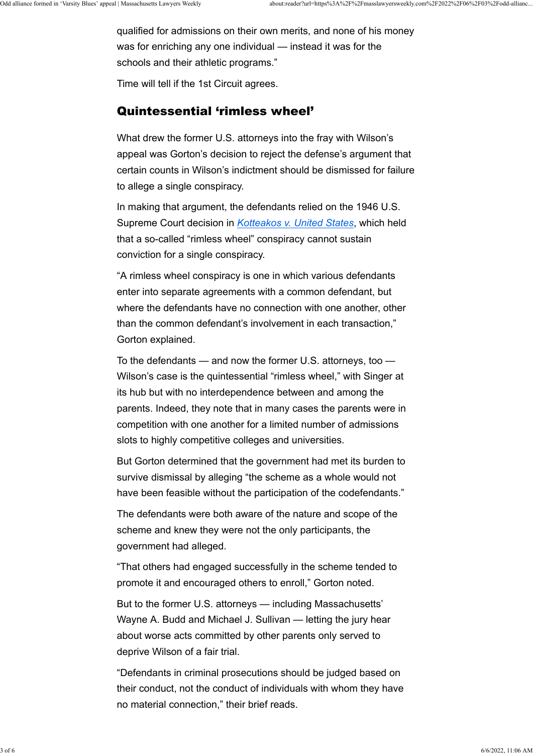qualified for admissions on their own merits, and none of his money was for enriching any one individual — instead it was for the schools and their athletic programs."

Time will tell if the 1st Circuit agrees.

#### Quintessential 'rimless wheel'

What drew the former U.S. attorneys into the fray with Wilson's appeal was Gorton's decision to reject the defense's argument that certain counts in Wilson's indictment should be dismissed for failure to allege a single conspiracy.

In making that argument, the defendants relied on the 1946 U.S. Supreme Court decision in *[Kotteakos v. United States](https://scholar.google.com/scholar_case?case=6047594975915588859&hl=en&as_sdt=6&as_vis=1&oi=scholarr)*, which held that a so-called "rimless wheel" conspiracy cannot sustain conviction for a single conspiracy.

"A rimless wheel conspiracy is one in which various defendants enter into separate agreements with a common defendant, but where the defendants have no connection with one another, other than the common defendant's involvement in each transaction," Gorton explained.

To the defendants — and now the former U.S. attorneys, too — Wilson's case is the quintessential "rimless wheel," with Singer at its hub but with no interdependence between and among the parents. Indeed, they note that in many cases the parents were in competition with one another for a limited number of admissions slots to highly competitive colleges and universities.

But Gorton determined that the government had met its burden to survive dismissal by alleging "the scheme as a whole would not have been feasible without the participation of the codefendants."

The defendants were both aware of the nature and scope of the scheme and knew they were not the only participants, the government had alleged.

"That others had engaged successfully in the scheme tended to promote it and encouraged others to enroll," Gorton noted.

But to the former U.S. attorneys — including Massachusetts' Wayne A. Budd and Michael J. Sullivan — letting the jury hear about worse acts committed by other parents only served to deprive Wilson of a fair trial.

"Defendants in criminal prosecutions should be judged based on their conduct, not the conduct of individuals with whom they have no material connection," their brief reads.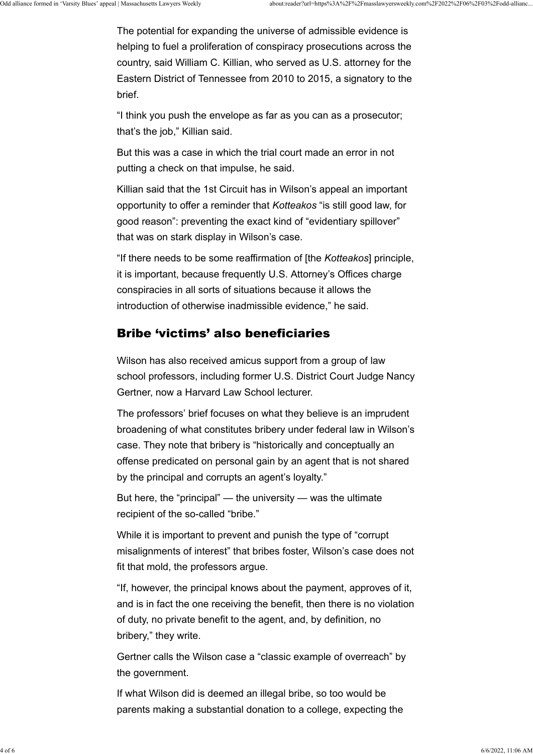The potential for expanding the universe of admissible evidence is helping to fuel a proliferation of conspiracy prosecutions across the country, said William C. Killian, who served as U.S. attorney for the Eastern District of Tennessee from 2010 to 2015, a signatory to the brief.

"I think you push the envelope as far as you can as a prosecutor; that's the job," Killian said.

But this was a case in which the trial court made an error in not putting a check on that impulse, he said.

Killian said that the 1st Circuit has in Wilson's appeal an important opportunity to offer a reminder that *Kotteakos* "is still good law, for good reason": preventing the exact kind of "evidentiary spillover" that was on stark display in Wilson's case.

"If there needs to be some reaffirmation of [the *Kotteakos*] principle, it is important, because frequently U.S. Attorney's Offices charge conspiracies in all sorts of situations because it allows the introduction of otherwise inadmissible evidence," he said.

## Bribe 'victims' also beneficiaries

Wilson has also received amicus support from a group of law school professors, including former U.S. District Court Judge Nancy Gertner, now a Harvard Law School lecturer.

The professors' brief focuses on what they believe is an imprudent broadening of what constitutes bribery under federal law in Wilson's case. They note that bribery is "historically and conceptually an offense predicated on personal gain by an agent that is not shared by the principal and corrupts an agent's loyalty."

But here, the "principal" — the university — was the ultimate recipient of the so-called "bribe."

While it is important to prevent and punish the type of "corrupt misalignments of interest" that bribes foster, Wilson's case does not fit that mold, the professors argue.

"If, however, the principal knows about the payment, approves of it, and is in fact the one receiving the benefit, then there is no violation of duty, no private benefit to the agent, and, by definition, no bribery," they write.

Gertner calls the Wilson case a "classic example of overreach" by the government.

If what Wilson did is deemed an illegal bribe, so too would be parents making a substantial donation to a college, expecting the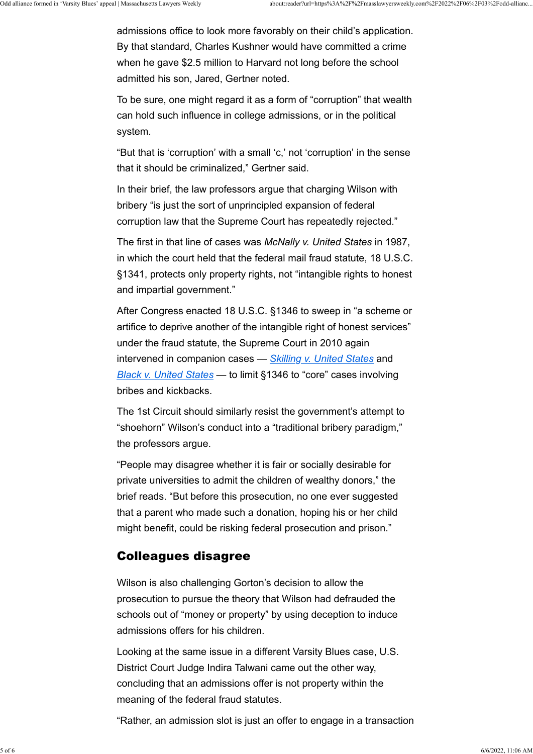admissions office to look more favorably on their child's application. By that standard, Charles Kushner would have committed a crime when he gave \$2.5 million to Harvard not long before the school admitted his son, Jared, Gertner noted.

To be sure, one might regard it as a form of "corruption" that wealth can hold such influence in college admissions, or in the political system.

"But that is 'corruption' with a small 'c,' not 'corruption' in the sense that it should be criminalized," Gertner said.

In their brief, the law professors argue that charging Wilson with bribery "is just the sort of unprincipled expansion of federal corruption law that the Supreme Court has repeatedly rejected."

The first in that line of cases was *McNally v. United States* in 1987, in which the court held that the federal mail fraud statute, 18 U.S.C. §1341, protects only property rights, not "intangible rights to honest and impartial government."

After Congress enacted 18 U.S.C. §1346 to sweep in "a scheme or artifice to deprive another of the intangible right of honest services" under the fraud statute, the Supreme Court in 2010 again intervened in companion cases — *[Skilling v. United States](https://www.supremecourt.gov/opinions/09pdf/08-1394.pdf)* and *[Black v. United States](https://www.supremecourt.gov/opinions/09pdf/08-876.pdf)* — to limit §1346 to "core" cases involving bribes and kickbacks.

The 1st Circuit should similarly resist the government's attempt to "shoehorn" Wilson's conduct into a "traditional bribery paradigm," the professors argue.

"People may disagree whether it is fair or socially desirable for private universities to admit the children of wealthy donors," the brief reads. "But before this prosecution, no one ever suggested that a parent who made such a donation, hoping his or her child might benefit, could be risking federal prosecution and prison."

## Colleagues disagree

Wilson is also challenging Gorton's decision to allow the prosecution to pursue the theory that Wilson had defrauded the schools out of "money or property" by using deception to induce admissions offers for his children.

Looking at the same issue in a different Varsity Blues case, U.S. District Court Judge Indira Talwani came out the other way, concluding that an admissions offer is not property within the meaning of the federal fraud statutes.

"Rather, an admission slot is just an offer to engage in a transaction